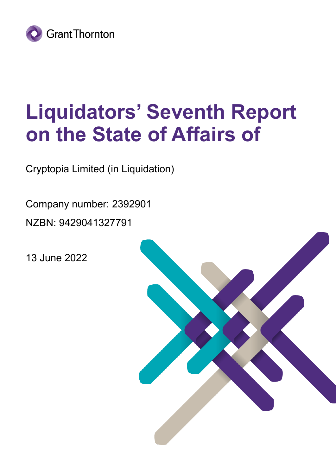

# **Liquidators' Seventh Report on the State of Affairs of**

Cryptopia Limited (in Liquidation)

Company number: 2392901 NZBN: 9429041327791

13 June 2022

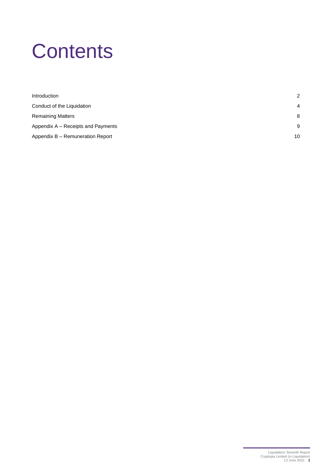# **Contents**

| Introduction                       | 2              |
|------------------------------------|----------------|
| Conduct of the Liquidation         | $\overline{4}$ |
| <b>Remaining Matters</b>           | 8              |
| Appendix A – Receipts and Payments | 9              |
| Appendix B - Remuneration Report   | 10             |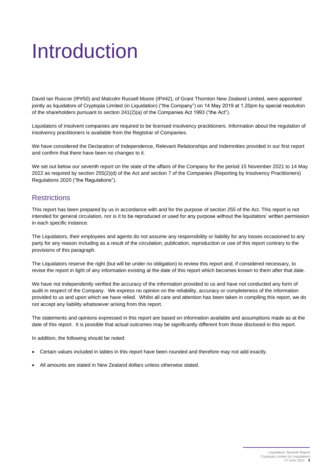# <span id="page-2-0"></span>Introduction

David Ian Ruscoe (IP#50) and Malcolm Russell Moore (IP#42), of Grant Thornton New Zealand Limited, were appointed jointly as liquidators of Cryptopia Limited (in Liquidation) ("the Company") on 14 May 2019 at 1.20pm by special resolution of the shareholders pursuant to section 241(2)(a) of the Companies Act 1993 ("the Act").

Liquidators of insolvent companies are required to be licensed insolvency practitioners. Information about the regulation of insolvency practitioners is available from the Registrar of Companies.

We have considered the Declaration of Independence, Relevant Relationships and Indemnities provided in our first report and confirm that there have been no changes to it.

We set out below our seventh report on the state of the affairs of the Company for the period 15 November 2021 to 14 May 2022 as required by section 255(2)(d) of the Act and section 7 of the Companies (Reporting by Insolvency Practitioners) Regulations 2020 ("the Regulations").

## **Restrictions**

This report has been prepared by us in accordance with and for the purpose of section 255 of the Act. This report is not intended for general circulation, nor is it to be reproduced or used for any purpose without the liquidators' written permission in each specific instance.

The Liquidators, their employees and agents do not assume any responsibility or liability for any losses occasioned to any party for any reason including as a result of the circulation, publication, reproduction or use of this report contrary to the provisions of this paragraph.

The Liquidators reserve the right (but will be under no obligation) to review this report and, if considered necessary, to revise the report in light of any information existing at the date of this report which becomes known to them after that date.

We have not independently verified the accuracy of the information provided to us and have not conducted any form of audit in respect of the Company. We express no opinion on the reliability, accuracy or completeness of the information provided to us and upon which we have relied. Whilst all care and attention has been taken in compiling this report, we do not accept any liability whatsoever arising from this report.

The statements and opinions expressed in this report are based on information available and assumptions made as at the date of this report. It is possible that actual outcomes may be significantly different from those disclosed in this report.

In addition, the following should be noted:

- Certain values included in tables in this report have been rounded and therefore may not add exactly.
- All amounts are stated in New Zealand dollars unless otherwise stated.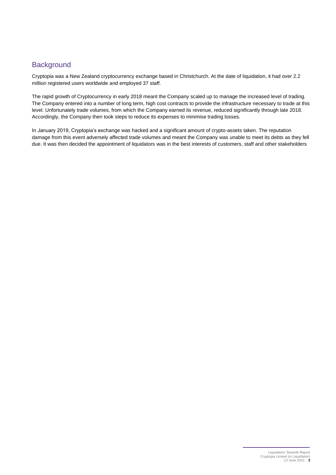## **Background**

Cryptopia was a New Zealand cryptocurrency exchange based in Christchurch. At the date of liquidation, it had over 2.2 million registered users worldwide and employed 37 staff.

The rapid growth of Cryptocurrency in early 2018 meant the Company scaled up to manage the increased level of trading. The Company entered into a number of long term, high cost contracts to provide the infrastructure necessary to trade at this level. Unfortunately trade volumes, from which the Company earned its revenue, reduced significantly through late 2018. Accordingly, the Company then took steps to reduce its expenses to minimise trading losses.

In January 2019, Cryptopia's exchange was hacked and a significant amount of crypto-assets taken. The reputation damage from this event adversely affected trade volumes and meant the Company was unable to meet its debts as they fell due. It was then decided the appointment of liquidators was in the best interests of customers, staff and other stakeholders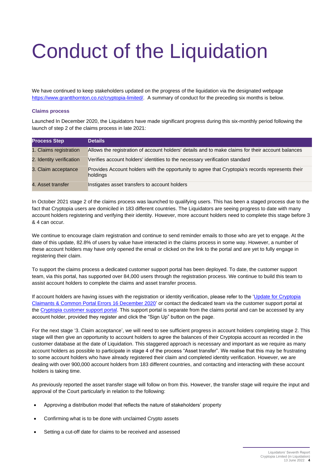# <span id="page-4-0"></span>Conduct of the Liquidation

We have continued to keep stakeholders updated on the progress of the liquidation via the designated webpage [https://www.grantthornton.co.nz/cryptopia-limited/.](https://www.grantthornton.co.nz/cryptopia-limited/) A summary of conduct for the preceding six months is below.

#### **Claims process**

Launched In December 2020, the Liquidators have made significant progress during this six-monthly period following the launch of step 2 of the claims process in late 2021:

| <b>Process Step</b>      | <b>Details</b>                                                                                               |
|--------------------------|--------------------------------------------------------------------------------------------------------------|
| 1. Claims registration   | Allows the registration of account holders' details and to make claims for their account balances            |
| 2. Identity verification | Verifies account holders' identities to the necessary verification standard                                  |
| 3. Claim acceptance      | Provides Account holders with the opportunity to agree that Cryptopia's records represents their<br>holdings |
| 4. Asset transfer        | Instigates asset transfers to account holders                                                                |

In October 2021 stage 2 of the claims process was launched to qualifying users. This has been a staged process due to the fact that Cryptopia users are domiciled in 183 different countries. The Liquidators are seeing progress to date with many account holders registering and verifying their identity. However, more account holders need to complete this stage before 3 & 4 can occur.

We continue to encourage claim registration and continue to send reminder emails to those who are yet to engage. At the date of this update, 82.8% of users by value have interacted in the claims process in some way. However, a number of these account holders may have only opened the email or clicked on the link to the portal and are yet to fully engage in registering their claim.

To support the claims process a dedicated customer support portal has been deployed. To date, the customer support team, via this portal, has supported over 84,000 users through the registration process. We continue to build this team to assist account holders to complete the claims and asset transfer process.

If account holders are having issues with the registration or identity verification, please refer to the 'Update for Cryptopia [Claimants & Common Portal Errors 16 December 2020'](https://www.grantthornton.co.nz/insights/update-for-cryptopia-claimants--common-portal-errors-16-december-2020/) or contact the dedicated team via the customer support portal at the [Cryptopia customer support portal.](https://cryptopia.zendesk.com/hc/en-us/restricted?return_to=https%3A%2F%2Fcryptopia.zendesk.com%2Fhc%2Fen-us) This support portal is separate from the claims portal and can be accessed by any account holder, provided they register and click the "Sign Up" button on the page.

For the next stage '3. Claim acceptance', we will need to see sufficient progress in account holders completing stage 2. This stage will then give an opportunity to account holders to agree the balances of their Cryptopia account as recorded in the customer database at the date of Liquidation. This staggered approach is necessary and important as we require as many account holders as possible to participate in stage 4 of the process "Asset transfer". We realise that this may be frustrating to some account holders who have already registered their claim and completed identity verification. However, we are dealing with over 900,000 account holders from 183 different countries, and contacting and interacting with these account holders is taking time.

As previously reported the asset transfer stage will follow on from this. However, the transfer stage will require the input and approval of the Court particularly in relation to the following:

- Approving a distribution model that reflects the nature of stakeholders' property
- Confirming what is to be done with unclaimed Crypto assets
- Setting a cut-off date for claims to be received and assessed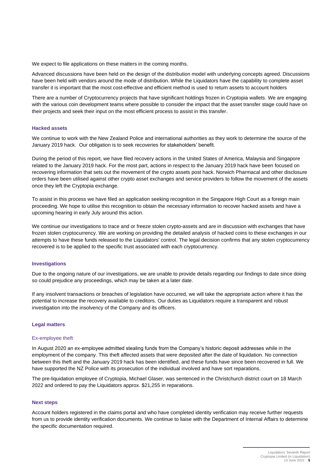We expect to file applications on these matters in the coming months.

Advanced discussions have been held on the design of the distribution model with underlying concepts agreed. Discussions have been held with vendors around the mode of distribution. While the Liquidators have the capability to complete asset transfer it is important that the most cost-effective and efficient method is used to return assets to account holders

There are a number of Cryptocurrency projects that have significant holdings frozen in Cryptopia wallets. We are engaging with the various coin development teams where possible to consider the impact that the asset transfer stage could have on their projects and seek their input on the most efficient process to assist in this transfer.

#### **Hacked assets**

We continue to work with the New Zealand Police and international authorities as they work to determine the source of the January 2019 hack. Our obligation is to seek recoveries for stakeholders' benefit.

During the period of this report, we have filed recovery actions in the United States of America, Malaysia and Singapore related to the January 2019 hack. For the most part, actions in respect to the January 2019 hack have been focused on recovering information that sets out the movement of the crypto assets post hack. Norwich Pharmacal and other disclosure orders have been utilised against other crypto asset exchanges and service providers to follow the movement of the assets once they left the Cryptopia exchange.

To assist in this process we have filed an application seeking recognition in the Singapore High Court as a foreign main proceeding. We hope to utilise this recognition to obtain the necessary information to recover hacked assets and have a upcoming hearing in early July around this action.

We continue our investigations to trace and or freeze stolen crypto-assets and are in discussion with exchanges that have frozen stolen cryptocurrency. We are working on providing the detailed analysis of hacked coins to these exchanges in our attempts to have these funds released to the Liquidators' control. The legal decision confirms that any stolen cryptocurrency recovered is to be applied to the specific trust associated with each cryptocurrency.

#### **Investigations**

Due to the ongoing nature of our investigations, we are unable to provide details regarding our findings to date since doing so could prejudice any proceedings, which may be taken at a later date.

If any insolvent transactions or breaches of legislation have occurred, we will take the appropriate action where it has the potential to increase the recovery available to creditors. Our duties as Liquidators require a transparent and robust investigation into the insolvency of the Company and its officers.

#### **Legal matters**

#### Ex-employee theft

In August 2020 an ex-employee admitted stealing funds from the Company's historic deposit addresses while in the employment of the company. This theft affected assets that were deposited after the date of liquidation. No connection between this theft and the January 2019 hack has been identified, and these funds have since been recovered in full. We have supported the NZ Police with its prosecution of the individual involved and have sort reparations.

The pre-liquidation employee of Cryptopia, Michael Glaser, was sentenced in the Christchurch district court on 18 March 2022 and ordered to pay the Liquidators approx. \$21,255 in reparations.

#### **Next steps**

Account holders registered in the claims portal and who have completed identity verification may receive further requests from us to provide identity verification documents. We continue to liaise with the Department of Internal Affairs to determine the specific documentation required.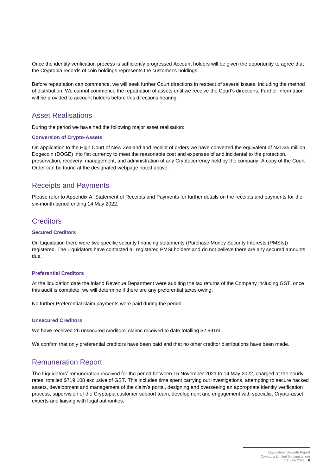Once the identity verification process is sufficiently progressed Account holders will be given the opportunity to agree that the Cryptopia records of coin holdings represents the customer's holdings.

Before repatriation can commence, we will seek further Court directions in respect of several issues, including the method of distribution. We cannot commence the repatriation of assets until we receive the Court's directions. Further information will be provided to account holders before this directions hearing

### Asset Realisations

During the period we have had the following major asset realisation:

#### **Conversion of Crypto-Assets**

On application to the High Court of New Zealand and receipt of orders we have converted the equivalent of NZD\$5 million Dogecoin (DOGE) into fiat currency to meet the reasonable cost and expenses of and incidental to the protection, preservation, recovery, management, and administration of any Cryptocurrency held by the company. A copy of the Court Order can be found at the designated webpage noted above.

## Receipts and Payments

Please refer to Appendix A: Statement of Receipts and Payments for further details on the receipts and payments for the six-month period ending 14 May 2022.

### **Creditors**

### **Secured Creditors**

On Liquidation there were two specific security financing statements (Purchase Money Security Interests (PMSIs)) registered. The Liquidators have contacted all registered PMSI holders and do not believe there are any secured amounts due.

### **Preferential Creditors**

At the liquidation date the Inland Revenue Department were auditing the tax returns of the Company including GST, once this audit is complete, we will determine if there are any preferential taxes owing.

No further Preferential claim payments were paid during the period.

#### **Unsecured Creditors**

We have received 26 unsecured creditors' claims received to date totalling \$2.991m.

We confirm that only preferential creditors have been paid and that no other creditor distributions have been made.

### Remuneration Report

The Liquidators' remuneration received for the period between 15 November 2021 to 14 May 2022, charged at the hourly rates, totalled \$719,108 exclusive of GST. This includes time spent carrying out investigations, attempting to secure hacked assets, development and management of the claim's portal, designing and overseeing an appropriate identity verification process, supervision of the Cryptopia customer support team, development and engagement with specialist Crypto-asset experts and liaising with legal authorities.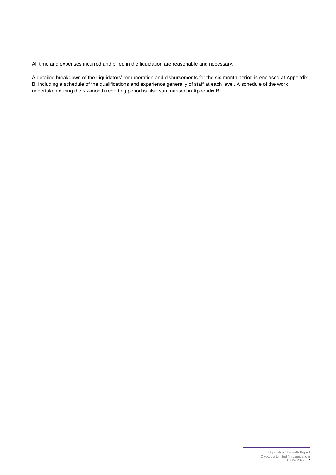All time and expenses incurred and billed in the liquidation are reasonable and necessary.

A detailed breakdown of the Liquidators' remuneration and disbursements for the six-month period is enclosed at Appendix B, including a schedule of the qualifications and experience generally of staff at each level. A schedule of the work undertaken during the six-month reporting period is also summarised in Appendix B.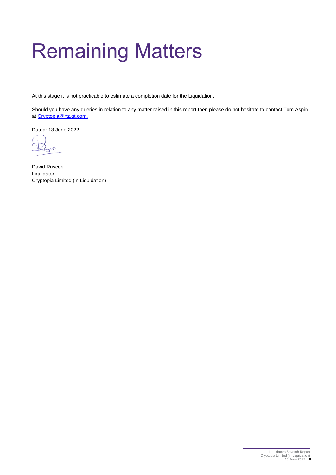# <span id="page-8-0"></span>Remaining Matters

At this stage it is not practicable to estimate a completion date for the Liquidation.

Should you have any queries in relation to any matter raised in this report then please do not hesitate to contact Tom Aspin a[t Cryptopia@nz.gt.com.](mailto:Cryptopia@nz.gt.com)

Dated: 13 June 2022

David Ruscoe Liquidator Cryptopia Limited (in Liquidation)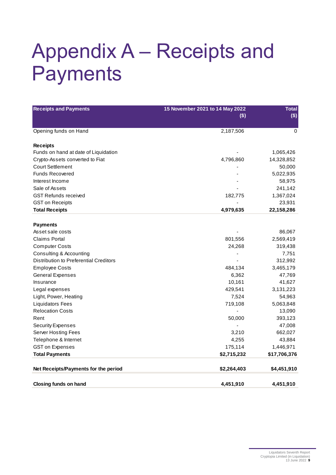# <span id="page-9-0"></span>Appendix A – Receipts and Payments

| <b>Receipts and Payments</b>           | 15 November 2021 to 14 May 2022<br>$($)$ | <b>Total</b><br>$($)$ |  |
|----------------------------------------|------------------------------------------|-----------------------|--|
| Opening funds on Hand                  | 2,187,506                                | 0                     |  |
| <b>Receipts</b>                        |                                          |                       |  |
| Funds on hand at date of Liquidation   |                                          | 1,065,426             |  |
| Crypto-Assets converted to Fiat        | 4,796,860                                | 14,328,852            |  |
| <b>Court Settlement</b>                |                                          | 50,000                |  |
| <b>Funds Recovered</b>                 |                                          | 5,022,935             |  |
| Interest Income                        |                                          | 58,975                |  |
| Sale of Assets                         |                                          | 241,142               |  |
| <b>GST Refunds received</b>            | 182,775                                  | 1,367,024             |  |
| <b>GST on Receipts</b>                 |                                          | 23,931                |  |
| <b>Total Receipts</b>                  | 4,979,635                                | 22,158,286            |  |
|                                        |                                          |                       |  |
| <b>Payments</b>                        |                                          |                       |  |
| Asset sale costs                       |                                          | 86,067                |  |
| <b>Claims Portal</b>                   | 801,556                                  | 2,569,419             |  |
| <b>Computer Costs</b>                  | 24,268                                   | 319,438               |  |
| Consulting & Accounting                |                                          | 7,751                 |  |
| Distribution to Preferential Creditors |                                          | 312,992               |  |
| <b>Employee Costs</b>                  | 484,134                                  | 3,465,179             |  |
| <b>General Expenses</b>                | 6,362                                    | 47,769                |  |
| Insurance                              | 10,161                                   | 41,627                |  |
| Legal expenses                         | 429,541                                  | 3,131,223             |  |
| Light, Power, Heating                  | 7,524                                    | 54,963                |  |
| <b>Liquidators Fees</b>                | 719,108                                  | 5,063,848             |  |
| <b>Relocation Costs</b>                |                                          | 13,090                |  |
| Rent                                   | 50,000                                   | 393,123               |  |
| <b>Security Expenses</b>               |                                          | 47,008                |  |
| <b>Server Hosting Fees</b>             | 3,210                                    | 662,027               |  |
| Telephone & Internet                   | 4,255                                    | 43,884                |  |
| <b>GST on Expenses</b>                 | 175,114                                  | 1,446,971             |  |
| <b>Total Payments</b>                  | \$2,715,232                              | \$17,706,376          |  |
|                                        |                                          |                       |  |
| Net Receipts/Payments for the period   | \$2,264,403                              | \$4,451,910           |  |
| <b>Closing funds on hand</b>           | 4,451,910                                | 4,451,910             |  |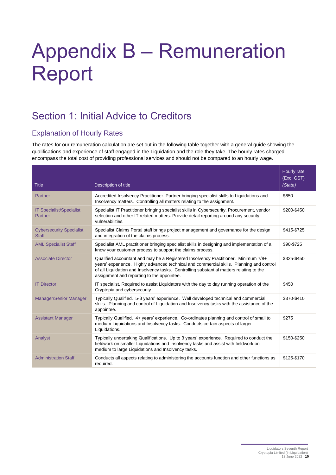# <span id="page-10-0"></span>Appendix B – Remuneration Report

# Section 1: Initial Advice to Creditors

# Explanation of Hourly Rates

The rates for our remuneration calculation are set out in the following table together with a general guide showing the qualifications and experience of staff engaged in the Liquidation and the role they take. The hourly rates charged encompass the total cost of providing professional services and should not be compared to an hourly wage.

| <b>Title</b>                                      | Description of title                                                                                                                                                                                                                                                                                                     | Hourly rate<br>(Exc. GST)<br>(State) |
|---------------------------------------------------|--------------------------------------------------------------------------------------------------------------------------------------------------------------------------------------------------------------------------------------------------------------------------------------------------------------------------|--------------------------------------|
| Partner                                           | Accredited Insolvency Practitioner. Partner bringing specialist skills to Liquidations and<br>Insolvency matters. Controlling all matters relating to the assignment.                                                                                                                                                    | \$650                                |
| <b>IT Specialist/Specialist</b><br><b>Partner</b> | Specialist IT Practitioner bringing specialist skills in Cybersecurity, Procurement, vendor<br>selection and other IT related matters. Provide detail reporting around any security<br>vulnerabilities.                                                                                                                  | \$200-\$450                          |
| <b>Cybersecurity Specialist</b><br><b>Staff</b>   | Specialist Claims Portal staff brings project management and governance for the design<br>and integration of the claims process.                                                                                                                                                                                         | \$415-\$725                          |
| <b>AML Specialist Staff</b>                       | Specialist AML practitioner bringing specialist skills in designing and implementation of a<br>know your customer process to support the claims process.                                                                                                                                                                 | \$90-\$725                           |
| <b>Associate Director</b>                         | Qualified accountant and may be a Registered Insolvency Practitioner. Minimum 7/8+<br>years' experience. Highly advanced technical and commercial skills. Planning and control<br>of all Liquidation and Insolvency tasks. Controlling substantial matters relating to the<br>assignment and reporting to the appointee. | \$325-\$450                          |
| <b>IT Director</b>                                | IT specialist. Required to assist Liquidators with the day to day running operation of the<br>Cryptopia and cybersecurity.                                                                                                                                                                                               | \$450                                |
| <b>Manager/Senior Manager</b>                     | Typically Qualified. 5-8 years' experience. Well developed technical and commercial<br>skills. Planning and control of Liquidation and Insolvency tasks with the assistance of the<br>appointee.                                                                                                                         | \$370-\$410                          |
| <b>Assistant Manager</b>                          | Typically Qualified. 4+ years' experience. Co-ordinates planning and control of small to<br>medium Liquidations and Insolvency tasks. Conducts certain aspects of larger<br>Liquidations.                                                                                                                                | \$275                                |
| Analyst                                           | Typically undertaking Qualifications. Up to 3 years' experience. Required to conduct the<br>fieldwork on smaller Liquidations and Insolvency tasks and assist with fieldwork on<br>medium to large Liquidations and Insolvency tasks.                                                                                    | \$150-\$250                          |
| <b>Administration Staff</b>                       | Conducts all aspects relating to administering the accounts function and other functions as<br>required.                                                                                                                                                                                                                 | \$125-\$170                          |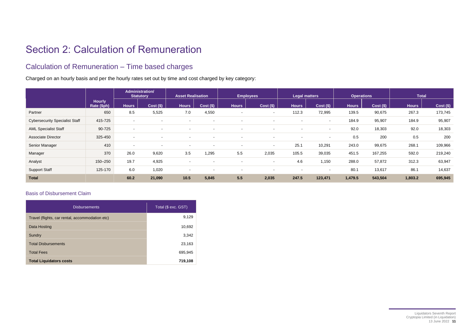# Section 2: Calculation of Remuneration

## Calculation of Remuneration – Time based charges

Charged on an hourly basis and per the hourly rates set out by time and cost charged by key category:

|                                       |                              |                          | Administration/<br><b>Statutory</b> | <b>Asset Realisation</b> |                          |                          | <b>Employees</b>         |                          | <b>Legal matters</b>     | <b>Operations</b> |             |              | <b>Total</b> |
|---------------------------------------|------------------------------|--------------------------|-------------------------------------|--------------------------|--------------------------|--------------------------|--------------------------|--------------------------|--------------------------|-------------------|-------------|--------------|--------------|
|                                       | <b>Hourly</b><br>Rate (\$ph) | <b>Hours</b>             | $Cost($ \$)                         | <b>Hours</b>             | $Cost($ \$)              | <b>Hours</b>             | $Cost($ \$)              | <b>Hours</b>             | $Cost($ \$)              | <b>Hours</b>      | $Cost($ \$) | <b>Hours</b> | $Cost($ \$)  |
| Partner                               | 650                          | 8.5                      | 5,525                               | 7.0                      | 4,550                    |                          | $\sim$                   | 112.3                    | 72,995                   | 139.5             | 90,675      | 267.3        | 173,745      |
| <b>Cybersecurity Specialist Staff</b> | 415-725                      | $\sim$                   |                                     | $\overline{a}$           | $\overline{a}$           |                          | $\overline{a}$           |                          | $\sim$                   | 184.9             | 95,907      | 184.9        | 95,907       |
| <b>AML Specialist Staff</b>           | 90-725                       | $\overline{a}$           |                                     | $\overline{\phantom{0}}$ | $\overline{\phantom{a}}$ |                          | $\overline{a}$           | $\sim$                   | $\overline{a}$           | 92.0              | 18,303      | 92.0         | 18,303       |
| <b>Associate Director</b>             | 325-450                      | $\overline{a}$           |                                     |                          |                          |                          | $\overline{a}$           | $\sim$                   | $\overline{a}$           | 0.5               | 200         | 0.5          | 200          |
| Senior Manager                        | 410                          | $\overline{\phantom{0}}$ |                                     |                          |                          |                          | $\sim$                   | 25.1                     | 10,291                   | 243.0             | 99,675      | 268.1        | 109,966      |
| Manager                               | 370                          | 26.0                     | 9,620                               | 3.5                      | 1,295                    | 5.5                      | 2,035                    | 105.5                    | 39,035                   | 451.5             | 167,255     | 592.0        | 219,240      |
| Analyst                               | 150-250                      | 19.7                     | 4,925                               | . .                      | $\overline{\phantom{a}}$ | $\overline{\phantom{0}}$ | $\overline{\phantom{a}}$ | 4.6                      | 1,150                    | 288.0             | 57,872      | 312.3        | 63,947       |
| <b>Support Staff</b>                  | 125-170                      | 6.0                      | 1,020                               | $\overline{\phantom{0}}$ | $\overline{\phantom{a}}$ |                          | $\overline{\phantom{a}}$ | $\overline{\phantom{a}}$ | $\overline{\phantom{a}}$ | 80.1              | 13,617      | 86.1         | 14,637       |
| <b>Total</b>                          |                              | 60.2                     | 21,090                              | 10.5                     | 5,845                    | 5.5                      | 2,035                    | 247.5                    | 123,471                  | 1,479.5           | 543,504     | 1,803.2      | 695,945      |

### Basis of Disbursement Claim

| <b>Disbursements</b>                            | Total (\$ exc. GST) |
|-------------------------------------------------|---------------------|
| Travel (flights, car rental, accommodation etc) | 9,129               |
| Data Hosting                                    | 10,692              |
| Sundry                                          | 3,342               |
| <b>Total Disbursements</b>                      | 23,163              |
| <b>Total Fees</b>                               | 695,945             |
| <b>Total Liquidators costs</b>                  | 719,108             |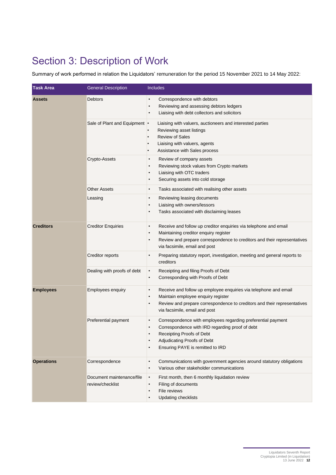# Section 3: Description of Work

Summary of work performed in relation the Liquidators' remuneration for the period 15 November 2021 to 14 May 2022:

| <b>Task Area</b>  | <b>General Description</b>                    | Includes                                                                                                                                                                                                                                                      |
|-------------------|-----------------------------------------------|---------------------------------------------------------------------------------------------------------------------------------------------------------------------------------------------------------------------------------------------------------------|
| <b>Assets</b>     | <b>Debtors</b>                                | Correspondence with debtors<br>$\bullet$<br>Reviewing and assessing debtors ledgers<br>$\bullet$<br>Liaising with debt collectors and solicitors                                                                                                              |
|                   | Sale of Plant and Equipment •                 | Liaising with valuers, auctioneers and interested parties<br>Reviewing asset listings<br><b>Review of Sales</b><br>Liaising with valuers, agents<br>Assistance with Sales process                                                                             |
|                   | Crypto-Assets                                 | Review of company assets<br>$\bullet$<br>Reviewing stock values from Crypto markets<br>$\bullet$<br>Liaising with OTC traders<br>$\bullet$<br>Securing assets into cold storage<br>$\bullet$                                                                  |
|                   | <b>Other Assets</b>                           | Tasks associated with realising other assets<br>$\bullet$                                                                                                                                                                                                     |
|                   | Leasing                                       | Reviewing leasing documents<br>$\bullet$<br>Liaising with owners/lessors<br>$\bullet$<br>Tasks associated with disclaiming leases<br>$\bullet$                                                                                                                |
| <b>Creditors</b>  | <b>Creditor Enquiries</b>                     | Receive and follow up creditor enquiries via telephone and email<br>$\bullet$<br>Maintaining creditor enquiry register<br>$\bullet$<br>Review and prepare correspondence to creditors and their representatives<br>$\bullet$<br>via facsimile, email and post |
|                   | Creditor reports                              | Preparing statutory report, investigation, meeting and general reports to<br>$\bullet$<br>creditors                                                                                                                                                           |
|                   | Dealing with proofs of debt                   | Receipting and filing Proofs of Debt<br>$\bullet$<br>Corresponding with Proofs of Debt<br>$\bullet$                                                                                                                                                           |
| <b>Employees</b>  | <b>Employees enquiry</b>                      | Receive and follow up employee enquiries via telephone and email<br>$\bullet$<br>Maintain employee enquiry register<br>$\bullet$<br>Review and prepare correspondence to creditors and their representatives<br>$\bullet$<br>via facsimile, email and post    |
|                   | Preferential payment                          | Correspondence with employees regarding preferential payment<br>$\bullet$<br>Correspondence with IRD regarding proof of debt<br>$\bullet$<br>Receipting Proofs of Debt<br>Adjudicating Proofs of Debt<br>$\bullet$<br>Ensuring PAYE is remitted to IRD        |
| <b>Operations</b> | Correspondence                                | $\bullet$<br>Communications with government agencies around statutory obligations<br>Various other stakeholder communications<br>$\bullet$                                                                                                                    |
|                   | Document maintenance/file<br>review/checklist | First month, then 6 monthly liquidation review<br>$\bullet$<br>Filing of documents<br>$\bullet$<br>File reviews<br>$\bullet$<br><b>Updating checklists</b><br>$\bullet$                                                                                       |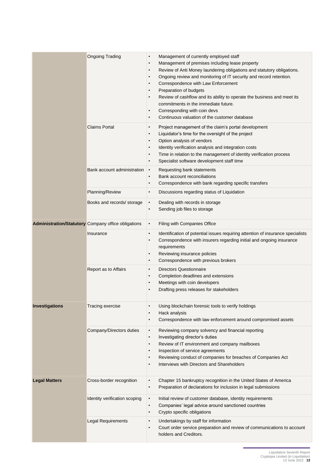|                      | <b>Ongoing Trading</b>                                     | Management of currently employed staff<br>$\bullet$<br>Management of premises including lease property<br>$\bullet$<br>Review of Anti Money laundering obligations and statutory obligations.<br>$\bullet$<br>Ongoing review and monitoring of IT security and record retention.<br>$\bullet$<br>Correspondence with Law Enforcement<br>$\bullet$<br>Preparation of budgets<br>$\bullet$<br>Review of cashflow and its ability to operate the business and meet its<br>$\bullet$<br>commitments in the immediate future.<br>Corresponding with coin devs<br>$\bullet$<br>Continuous valuation of the customer database<br>$\bullet$ |
|----------------------|------------------------------------------------------------|-------------------------------------------------------------------------------------------------------------------------------------------------------------------------------------------------------------------------------------------------------------------------------------------------------------------------------------------------------------------------------------------------------------------------------------------------------------------------------------------------------------------------------------------------------------------------------------------------------------------------------------|
|                      | <b>Claims Portal</b>                                       | Project management of the claim's portal development<br>$\bullet$<br>Liquidator's time for the oversight of the project<br>$\bullet$<br>Option analysis of vendors<br>$\bullet$<br>Identity verification analysis and integration costs<br>$\bullet$<br>Time in relation to the management of identity verification process<br>$\bullet$<br>Specialist software development staff time<br>$\bullet$                                                                                                                                                                                                                                 |
|                      | Bank account administration                                | Requesting bank statements<br>$\bullet$<br>Bank account reconciliations<br>$\bullet$<br>Correspondence with bank regarding specific transfers<br>$\bullet$                                                                                                                                                                                                                                                                                                                                                                                                                                                                          |
|                      | Planning/Review                                            | Discussions regarding status of Liquidation<br>$\bullet$                                                                                                                                                                                                                                                                                                                                                                                                                                                                                                                                                                            |
|                      | Books and records/ storage                                 | Dealing with records in storage<br>$\bullet$<br>Sending job files to storage<br>$\bullet$                                                                                                                                                                                                                                                                                                                                                                                                                                                                                                                                           |
|                      | <b>Administration/Statutory</b> Company office obligations | Filing with Companies Office<br>$\bullet$                                                                                                                                                                                                                                                                                                                                                                                                                                                                                                                                                                                           |
|                      | Insurance                                                  | Identification of potential issues requiring attention of insurance specialists<br>$\bullet$<br>Correspondence with insurers regarding initial and ongoing insurance<br>$\bullet$<br>requirements<br>Reviewing insurance policies<br>$\bullet$<br>Correspondence with previous brokers<br>$\bullet$                                                                                                                                                                                                                                                                                                                                 |
|                      | Report as to Affairs                                       | <b>Directors Questionnaire</b><br>$\bullet$<br>Completion deadlines and extensions<br>$\bullet$<br>Meetings with coin developers<br>$\bullet$<br>Drafting press releases for stakeholders<br>$\bullet$                                                                                                                                                                                                                                                                                                                                                                                                                              |
| Investigations       | Tracing exercise                                           | Using blockchain forensic tools to verify holdings<br>Hack analysis<br>Correspondence with law enforcement around compromised assets<br>$\bullet$                                                                                                                                                                                                                                                                                                                                                                                                                                                                                   |
|                      | Company/Directors duties                                   | Reviewing company solvency and financial reporting<br>$\bullet$<br>Investigating director's duties<br>$\bullet$<br>Review of IT environment and company mailboxes<br>$\bullet$<br>Inspection of service agreements<br>$\bullet$<br>Reviewing conduct of companies for breaches of Companies Act<br>$\bullet$<br>Interviews with Directors and Shareholders<br>$\bullet$                                                                                                                                                                                                                                                             |
| <b>Legal Matters</b> | Cross-border recognition                                   | Chapter 15 bankruptcy recognition in the United States of America<br>$\bullet$<br>Preparation of declarations for inclusion in legal submissions<br>$\bullet$                                                                                                                                                                                                                                                                                                                                                                                                                                                                       |
|                      | Identity verification scoping                              | Initial review of customer database, identity requirements<br>$\bullet$<br>Companies' legal advice around sanctioned countries<br>$\bullet$<br>Crypto specific obligations<br>$\bullet$                                                                                                                                                                                                                                                                                                                                                                                                                                             |
|                      | <b>Legal Requirements</b>                                  | Undertakings by staff for information<br>$\bullet$<br>Court order service preparation and review of communications to account<br>$\bullet$<br>holders and Creditors.                                                                                                                                                                                                                                                                                                                                                                                                                                                                |